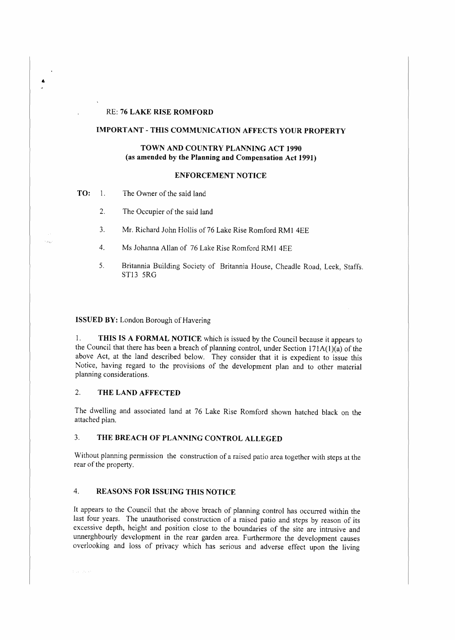#### RE: **76 LAKE RISE ROMFORD**

### **IMPORTANT** - **THIS COMMUNICATION AFFECTS YOUR PROPERTY**

#### **TOWN AND COUNTRY PLANNING ACT 1990 (as amended by the Planning and Compensation Act 1991)**

#### **ENFORCEMENT NOTICE**

**TO:** 1. The Owner of the said land

 $\bullet$ 

 $\sim \Delta$  .

- 2. The Occupier of the said land
- 3. Mr. Richard John Hollis of76 Lake Rise Romford **RMI** 4EE
- 4. Ms Johanna Allan of 76 Lake Rise Romford RMl 4EE
- 5. Britannia Building Society of Britannia House, Cheadle Road, Leek, Staffs. ST13 5RG

#### **ISSUED BY:** London Borough of Havering

1. **THIS IS A FORMAL NOTICE** which is issued by the Council because it appears to the Council that there has been a breach of planning control, under Section  $171A(1)(a)$  of the above Act, at the land described below. They consider that it is expedient to issue this Notice, having regard to the provisions of the development plan and to other material planning considerations.

#### 2. **THE LAND AFFECTED**

The dwelling and associated land at 76 Lake Rise Romford shown hatched black on the attached plan.

## 3. **THE BREACH OF PLANNING CONTROL ALLEGED**

Without planning permission the construction of a raised patio area together with steps at the rear of the property.

## 4. **REASONS FOR ISSUING THIS NOTICE**

It appears to the Council that the above breach of planning control has occurred within the last four years. The unauthorised construction of a raised patio and steps by reason of its excessive depth, height and position close to the boundaries of the site are intrusive and unnerghbourly development in the rear garden area. Furthermore the development causes overlooking and loss of privacy which has serious and adverse effect upon the living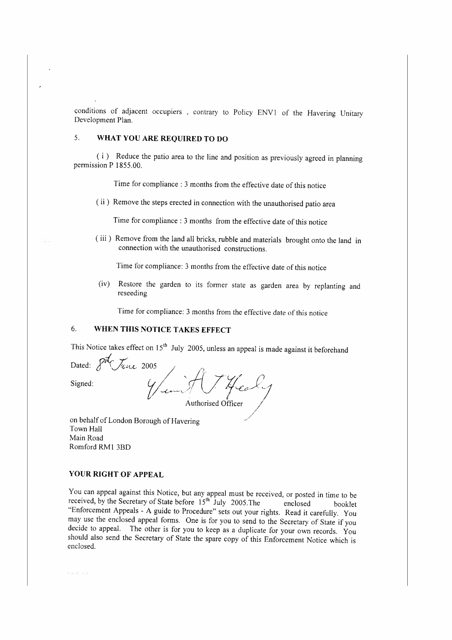conditions of adjacent occupiers . contrary to Policy ENV! of the Havering Unitary Development Plan.

## 5. **WHAT YOU ARE REQUIRED TO DO**

( i ) Reduce the patio area to the line and position as previously agreed in planning permission P 1855.00.

Time for compliance: 3 months from the effective date of this notice

( ii ) Remove the steps erected in connection with the unauthorised patio area

Time for compliance : 3 months from the effective date of this notice

(iii) Remove from the land all bricks, rubble and materials brought onto the land in connection with the unauthorised constructions.

Time for compliance: 3 months from the effective date of this notice

(iv) Restore the garden to its former state as garden area by replanting and reseeding

Time for compliance: 3 months from the effective date of this notice

## 6. WHEN THIS NOTICE TAKES EFFECT

This Notice takes effect on  $15<sup>th</sup>$  July 2005, unless an appeal is made against it beforehand

Dated:  $\int^{\mu} \sqrt{\mu} \mu e$  2005 Signed: *y/unit / yearly* 

Authorised Officer */* 

*I* 

on behalf of London Borough of Havering Town Hall Main Road Romford RM1 3BD

#### **YOUR RIGHT OF APPEAL**

You can appeal against this Notice, but any appeal must be received, or posted in time to be received, by the Secretary of State before 15<sup>th</sup> July 2005. The enclosed booklet "Enforcement Appeals - A guide to Procedure" sets out your rights. Read it carefully. You may use the enclosed appeal forms. One is for you to send to the Secretary of State if you decide to appeal. The other is for you to keep as a duplicate for your own records. You should also send the Secretary of State the spare copy of this Enforcement Notice which is enclosed.

a grandes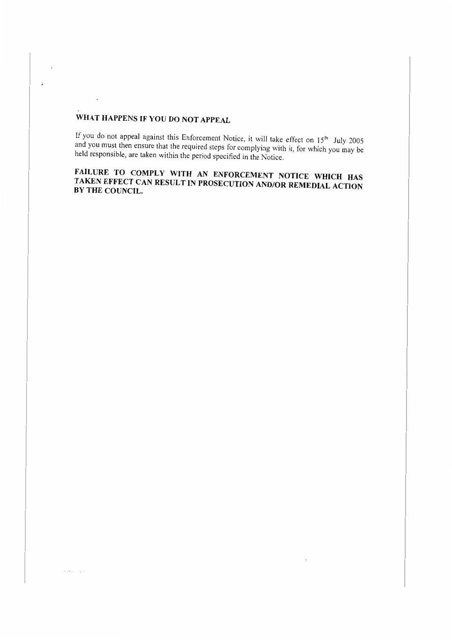# **WHAT HAPPENS IF YOU DO NOT APPEAL**

 $\overline{\phantom{a}}$ 

 $\ddot{\phantom{a}}$ 

 $(\boldsymbol{\sigma}(\boldsymbol{\sigma}^i_{\boldsymbol{\sigma}^i_{\boldsymbol{\sigma}^i_{\boldsymbol{\sigma}^i_{\boldsymbol{\sigma}^i_{\boldsymbol{\sigma}^i_{\boldsymbol{\sigma}^i_{\boldsymbol{\sigma}^i_{\boldsymbol{\sigma}^i_{\boldsymbol{\sigma}^i_{\boldsymbol{\sigma}^i_{\boldsymbol{\sigma}^i_{\boldsymbol{\sigma}^i_{\boldsymbol{\sigma}^i_{\boldsymbol{\sigma}^i_{\boldsymbol{\sigma}^i_{\boldsymbol{\sigma}^i_{\boldsymbol{\sigma}^i_{\boldsymbol{\sigma}^i_{\boldsymbol{\sigma}^i_{\boldsymbol{\sigma}^i_{\boldsymbol{\sigma}^i_{\boldsymbol{\sigma}^i_{\boldsymbol{\sigma}^$ 

If you do not appeal against this Enforcement Notice, it will take effect on  $15<sup>th</sup>$  July 2005 and you must then ensure that the required steps for complying with it, for which you may be held responsible, are taken within the period specified in the Notice.

**FAILURE TO COMPLY WITH AN ENFORCEMENT NOTICE WHICH HAS**  TAKEN EFFECT CAN RESULT IN PROSECUTION AND/OR REMEDIAL ACTION **BY THE COUNCIL.**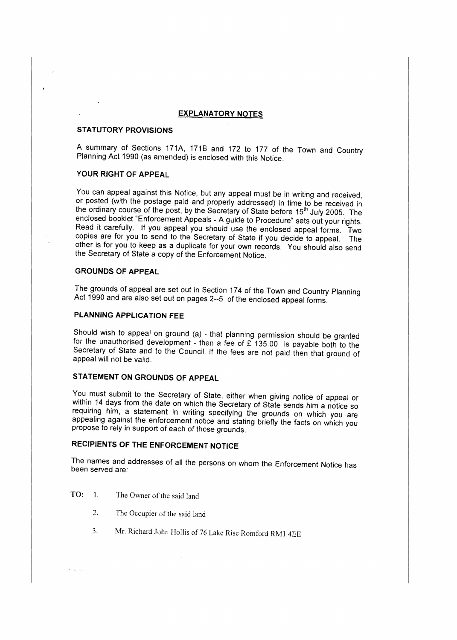## **EXPLANATORY NOTES**

#### **STATUTORY PROVISIONS**

A summary of Sections 171A, 1718 and 172 to 177 of the Town and Country Planning Act 1990 (as amended) is enclosed with this Notice.

### **YOUR RIGHT OF APPEAL**

You can appeal against this Notice, but any appeal must be in writing and received, or posted (with the postage paid and properly addressed) in time to be received in the ordinary course of the post, by the Secretary of State before 15<sup>th</sup> July 2005. The enclosed booklet "Enforcement Appeals - A guide to Procedure" sets out your rights. Read it carefully. If you appeal you should use the enclosed appeal forms. Two copies are for you to send to the Secretary of State if you decide to appeal. The other is for you to keep as a duplicate for your own records. You should also send the Secretary of State a copy of the Enforcement Notice.

## **GROUNDS OF APPEAL**

The grounds of appeal are set out in Section 174 of the Town and Country Planning Act 1990 and are also set out on pages 2--5 of the enclosed appeal forms.

## **PLANNING APPLICATION FEE**

Should wish to appeal on ground (a) - that planning permission should be granted for the unauthorised development - then a fee of  $\tilde{E}$  135.00 is payable both to the Secretary of State and to the Council. If the fees are not paid then that ground of appeal will not be valid.

## **STATEMENT ON GROUNDS OF APPEAL**

You must submit to the Secretary of State, either when giving notice of appeal or within 14 days from the date on which the Secretary of State sends him a notice so requiring him, a statement in writing specifying the grounds on which you are appealing against the enforcement notice and stating briefly the facts on which you propose to rely in support of each of those grounds.

## **RECIPIENTS OF THE ENFORCEMENT NOTICE**

The names and addresses of all the persons on whom the Enforcement Notice has been served are:

**TO:** I. The Owner of the said land

 $\lambda$  , and  $\mu$  are

- 2. The Occupier of the said land
- 3. Mr. Richard John Hollis of 76 Lake Rise Romford RM1 4EE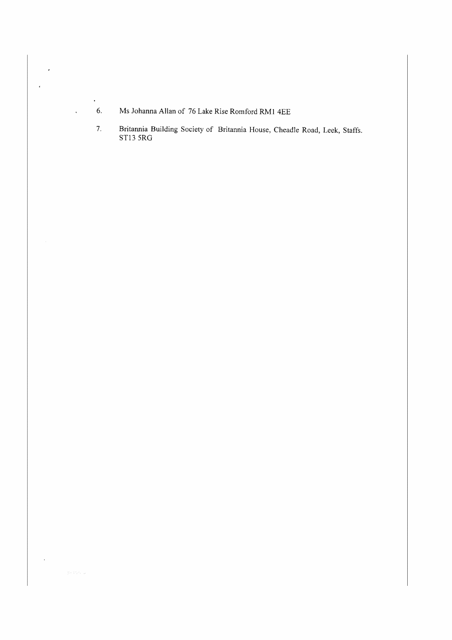6. Ms Johanna Allan of 76 Lake Rise Romford RMI 4EE

 $\ddot{\phantom{1}}$ 

 $\mathcal{C}^{\mathcal{C}}$ 

 $\bar{\mathcal{A}}$ 

 $\hat{\mathcal{A}}$ 

7. Britannia Building Society of Britannia House, Cheadle Road, Leek, Staffs. STl3 SRG